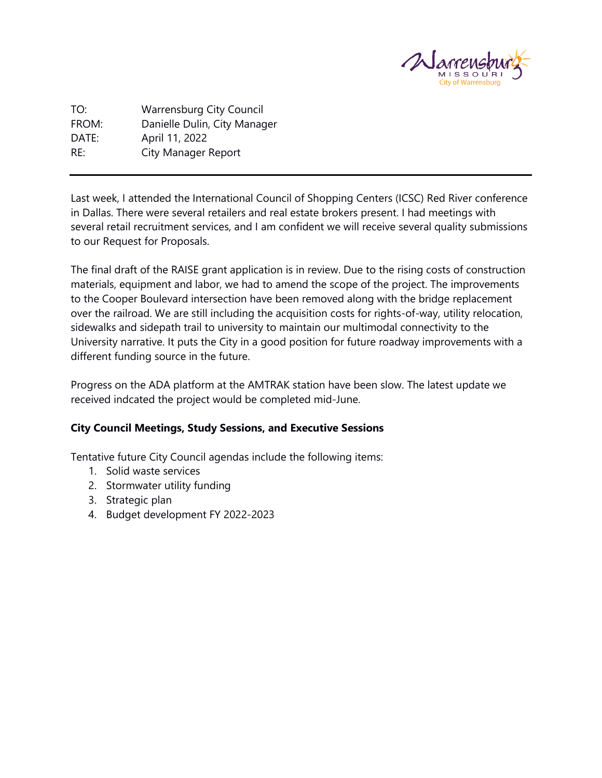

TO: Warrensburg City Council FROM: Danielle Dulin, City Manager DATE: April 11, 2022 RE: City Manager Report

Last week, I attended the International Council of Shopping Centers (ICSC) Red River conference in Dallas. There were several retailers and real estate brokers present. I had meetings with several retail recruitment services, and I am confident we will receive several quality submissions to our Request for Proposals.

The final draft of the RAISE grant application is in review. Due to the rising costs of construction materials, equipment and labor, we had to amend the scope of the project. The improvements to the Cooper Boulevard intersection have been removed along with the bridge replacement over the railroad. We are still including the acquisition costs for rights-of-way, utility relocation, sidewalks and sidepath trail to university to maintain our multimodal connectivity to the University narrative. It puts the City in a good position for future roadway improvements with a different funding source in the future.

Progress on the ADA platform at the AMTRAK station have been slow. The latest update we received indcated the project would be completed mid-June.

# **City Council Meetings, Study Sessions, and Executive Sessions**

Tentative future City Council agendas include the following items:

- 1. Solid waste services
- 2. Stormwater utility funding
- 3. Strategic plan
- 4. Budget development FY 2022-2023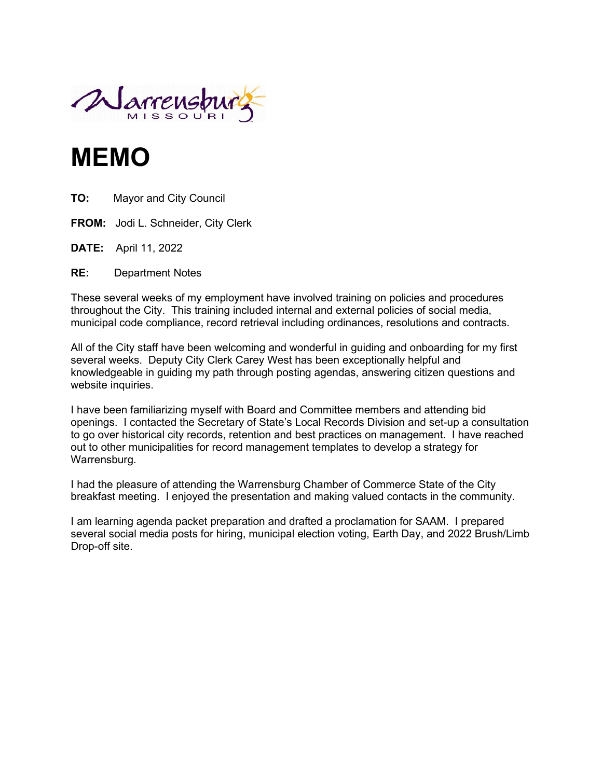

# **MEMO**

- **TO:** Mayor and City Council
- **FROM:** Jodi L. Schneider, City Clerk
- **DATE:** April 11, 2022
- **RE:** Department Notes

These several weeks of my employment have involved training on policies and procedures throughout the City. This training included internal and external policies of social media, municipal code compliance, record retrieval including ordinances, resolutions and contracts.

All of the City staff have been welcoming and wonderful in guiding and onboarding for my first several weeks. Deputy City Clerk Carey West has been exceptionally helpful and knowledgeable in guiding my path through posting agendas, answering citizen questions and website inquiries.

I have been familiarizing myself with Board and Committee members and attending bid openings. I contacted the Secretary of State's Local Records Division and set-up a consultation to go over historical city records, retention and best practices on management. I have reached out to other municipalities for record management templates to develop a strategy for Warrensburg.

I had the pleasure of attending the Warrensburg Chamber of Commerce State of the City breakfast meeting. I enjoyed the presentation and making valued contacts in the community.

I am learning agenda packet preparation and drafted a proclamation for SAAM. I prepared several social media posts for hiring, municipal election voting, Earth Day, and 2022 Brush/Limb Drop-off site.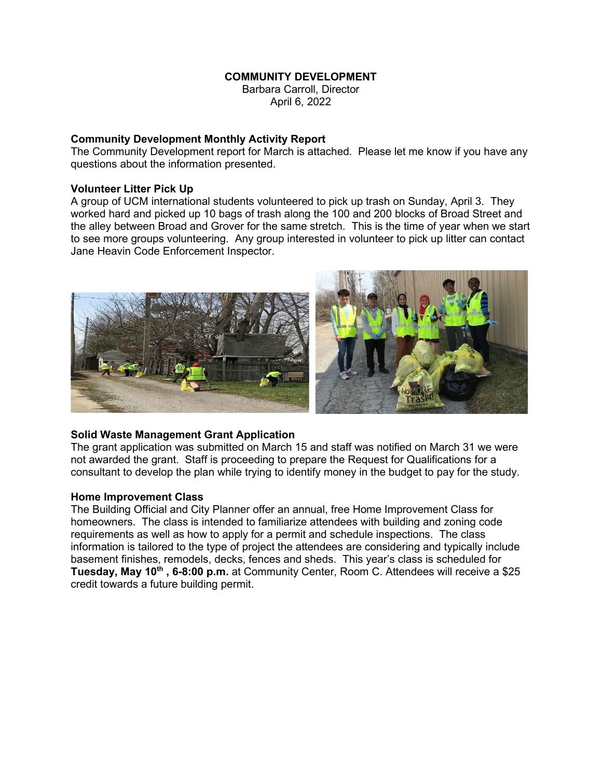# **COMMUNITY DEVELOPMENT**

Barbara Carroll, Director April 6, 2022

## **Community Development Monthly Activity Report**

The Community Development report for March is attached. Please let me know if you have any questions about the information presented.

## **Volunteer Litter Pick Up**

A group of UCM international students volunteered to pick up trash on Sunday, April 3. They worked hard and picked up 10 bags of trash along the 100 and 200 blocks of Broad Street and the alley between Broad and Grover for the same stretch. This is the time of year when we start to see more groups volunteering. Any group interested in volunteer to pick up litter can contact Jane Heavin Code Enforcement Inspector.



# **Solid Waste Management Grant Application**

The grant application was submitted on March 15 and staff was notified on March 31 we were not awarded the grant. Staff is proceeding to prepare the Request for Qualifications for a consultant to develop the plan while trying to identify money in the budget to pay for the study.

# **Home Improvement Class**

The Building Official and City Planner offer an annual, free Home Improvement Class for homeowners. The class is intended to familiarize attendees with building and zoning code requirements as well as how to apply for a permit and schedule inspections. The class information is tailored to the type of project the attendees are considering and typically include basement finishes, remodels, decks, fences and sheds. This year's class is scheduled for **Tuesday, May 10th , 6-8:00 p.m.** at Community Center, Room C. Attendees will receive a \$25 credit towards a future building permit.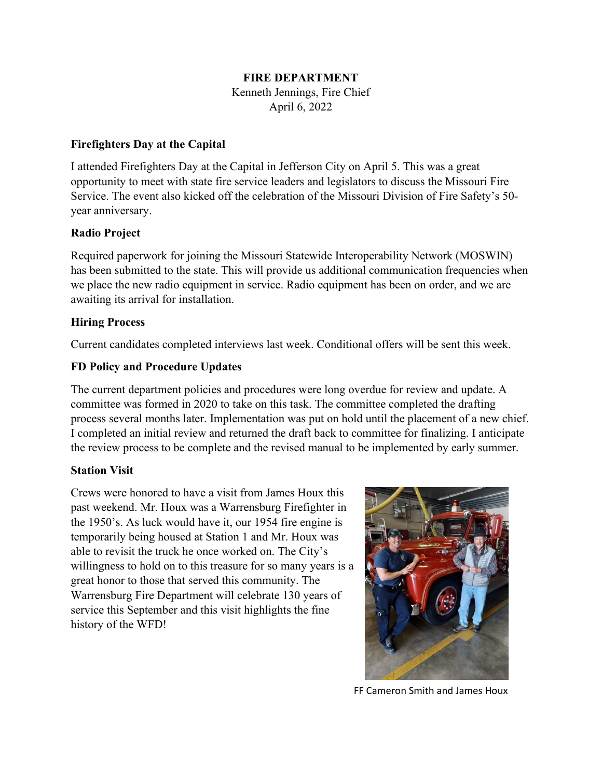# **FIRE DEPARTMENT**

Kenneth Jennings, Fire Chief April 6, 2022

# **Firefighters Day at the Capital**

I attended Firefighters Day at the Capital in Jefferson City on April 5. This was a great opportunity to meet with state fire service leaders and legislators to discuss the Missouri Fire Service. The event also kicked off the celebration of the Missouri Division of Fire Safety's 50 year anniversary.

# **Radio Project**

Required paperwork for joining the Missouri Statewide Interoperability Network (MOSWIN) has been submitted to the state. This will provide us additional communication frequencies when we place the new radio equipment in service. Radio equipment has been on order, and we are awaiting its arrival for installation.

# **Hiring Process**

Current candidates completed interviews last week. Conditional offers will be sent this week.

# **FD Policy and Procedure Updates**

The current department policies and procedures were long overdue for review and update. A committee was formed in 2020 to take on this task. The committee completed the drafting process several months later. Implementation was put on hold until the placement of a new chief. I completed an initial review and returned the draft back to committee for finalizing. I anticipate the review process to be complete and the revised manual to be implemented by early summer.

# **Station Visit**

Crews were honored to have a visit from James Houx this past weekend. Mr. Houx was a Warrensburg Firefighter in the 1950's. As luck would have it, our 1954 fire engine is temporarily being housed at Station 1 and Mr. Houx was able to revisit the truck he once worked on. The City's willingness to hold on to this treasure for so many years is a great honor to those that served this community. The Warrensburg Fire Department will celebrate 130 years of service this September and this visit highlights the fine history of the WFD!



FF Cameron Smith and James Houx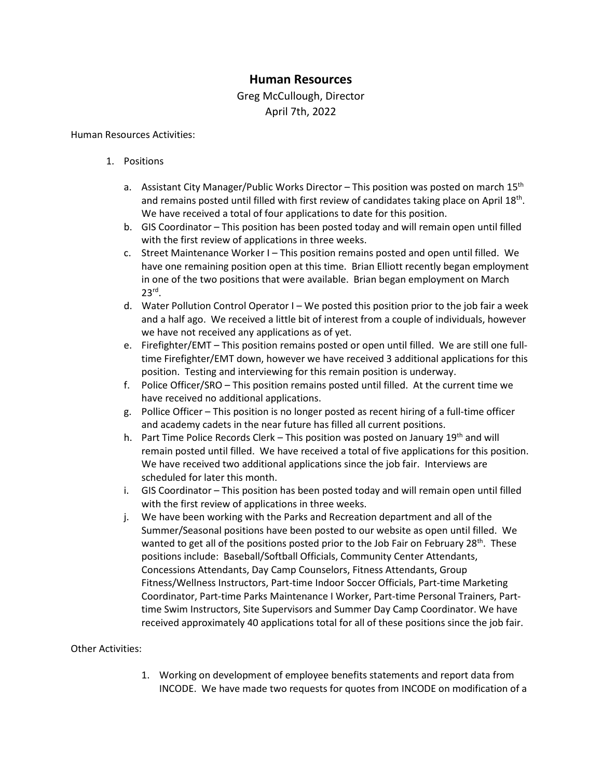# **Human Resources**

# Greg McCullough, Director April 7th, 2022

#### Human Resources Activities:

- 1. Positions
	- a. Assistant City Manager/Public Works Director This position was posted on march  $15<sup>th</sup>$ and remains posted until filled with first review of candidates taking place on April 18th. We have received a total of four applications to date for this position.
	- b. GIS Coordinator This position has been posted today and will remain open until filled with the first review of applications in three weeks.
	- c. Street Maintenance Worker I This position remains posted and open until filled. We have one remaining position open at this time. Brian Elliott recently began employment in one of the two positions that were available. Brian began employment on March  $23<sup>rd</sup>$ .
	- d. Water Pollution Control Operator I We posted this position prior to the job fair a week and a half ago. We received a little bit of interest from a couple of individuals, however we have not received any applications as of yet.
	- e. Firefighter/EMT This position remains posted or open until filled. We are still one fulltime Firefighter/EMT down, however we have received 3 additional applications for this position. Testing and interviewing for this remain position is underway.
	- f. Police Officer/SRO This position remains posted until filled. At the current time we have received no additional applications.
	- g. Pollice Officer This position is no longer posted as recent hiring of a full-time officer and academy cadets in the near future has filled all current positions.
	- h. Part Time Police Records Clerk This position was posted on January 19<sup>th</sup> and will remain posted until filled. We have received a total of five applications for this position. We have received two additional applications since the job fair. Interviews are scheduled for later this month.
	- i. GIS Coordinator This position has been posted today and will remain open until filled with the first review of applications in three weeks.
	- j. We have been working with the Parks and Recreation department and all of the Summer/Seasonal positions have been posted to our website as open until filled. We wanted to get all of the positions posted prior to the Job Fair on February  $28<sup>th</sup>$ . These positions include: Baseball/Softball Officials, Community Center Attendants, Concessions Attendants, Day Camp Counselors, Fitness Attendants, Group Fitness/Wellness Instructors, Part-time Indoor Soccer Officials, Part-time Marketing Coordinator, Part-time Parks Maintenance I Worker, Part-time Personal Trainers, Parttime Swim Instructors, Site Supervisors and Summer Day Camp Coordinator. We have received approximately 40 applications total for all of these positions since the job fair.

#### Other Activities:

1. Working on development of employee benefits statements and report data from INCODE. We have made two requests for quotes from INCODE on modification of a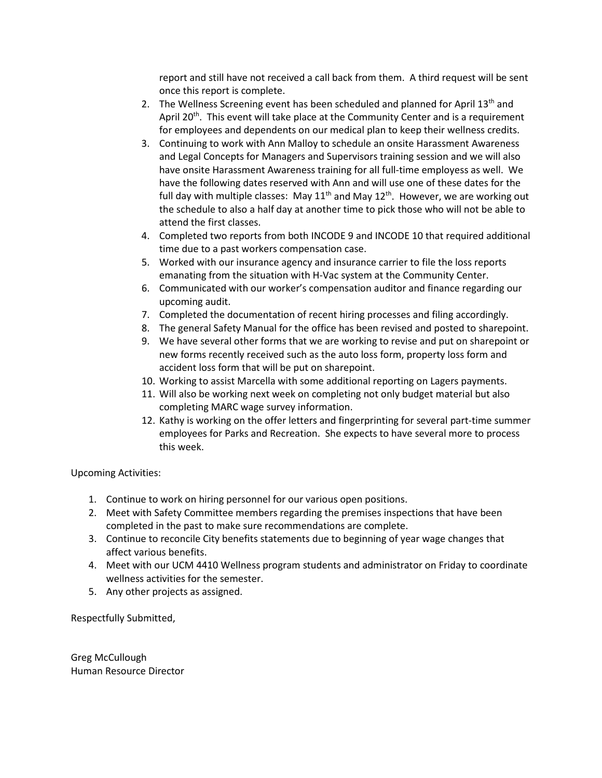report and still have not received a call back from them. A third request will be sent once this report is complete.

- 2. The Wellness Screening event has been scheduled and planned for April  $13<sup>th</sup>$  and April  $20<sup>th</sup>$ . This event will take place at the Community Center and is a requirement for employees and dependents on our medical plan to keep their wellness credits.
- 3. Continuing to work with Ann Malloy to schedule an onsite Harassment Awareness and Legal Concepts for Managers and Supervisors training session and we will also have onsite Harassment Awareness training for all full-time employess as well. We have the following dates reserved with Ann and will use one of these dates for the full day with multiple classes: May  $11<sup>th</sup>$  and May  $12<sup>th</sup>$ . However, we are working out the schedule to also a half day at another time to pick those who will not be able to attend the first classes.
- 4. Completed two reports from both INCODE 9 and INCODE 10 that required additional time due to a past workers compensation case.
- 5. Worked with our insurance agency and insurance carrier to file the loss reports emanating from the situation with H-Vac system at the Community Center.
- 6. Communicated with our worker's compensation auditor and finance regarding our upcoming audit.
- 7. Completed the documentation of recent hiring processes and filing accordingly.
- 8. The general Safety Manual for the office has been revised and posted to sharepoint.
- 9. We have several other forms that we are working to revise and put on sharepoint or new forms recently received such as the auto loss form, property loss form and accident loss form that will be put on sharepoint.
- 10. Working to assist Marcella with some additional reporting on Lagers payments.
- 11. Will also be working next week on completing not only budget material but also completing MARC wage survey information.
- 12. Kathy is working on the offer letters and fingerprinting for several part-time summer employees for Parks and Recreation. She expects to have several more to process this week.

Upcoming Activities:

- 1. Continue to work on hiring personnel for our various open positions.
- 2. Meet with Safety Committee members regarding the premises inspections that have been completed in the past to make sure recommendations are complete.
- 3. Continue to reconcile City benefits statements due to beginning of year wage changes that affect various benefits.
- 4. Meet with our UCM 4410 Wellness program students and administrator on Friday to coordinate wellness activities for the semester.
- 5. Any other projects as assigned.

Respectfully Submitted,

Greg McCullough Human Resource Director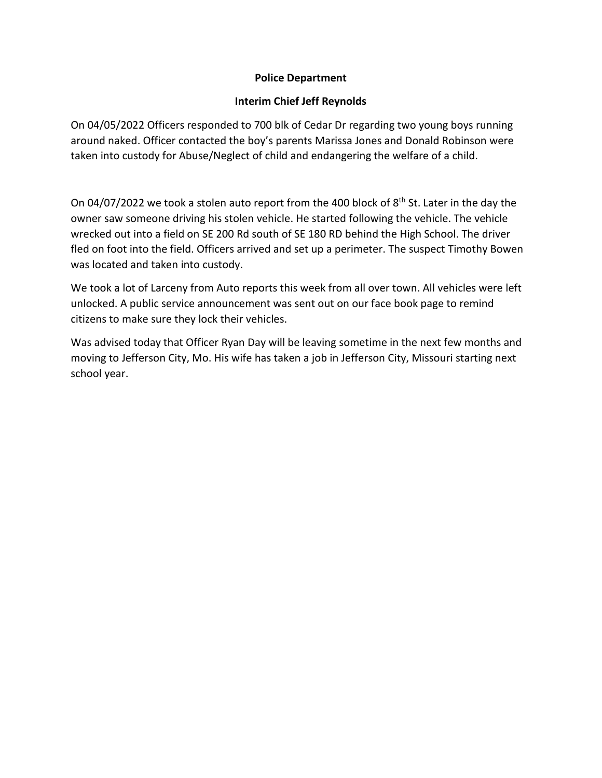# **Police Department**

# **Interim Chief Jeff Reynolds**

On 04/05/2022 Officers responded to 700 blk of Cedar Dr regarding two young boys running around naked. Officer contacted the boy's parents Marissa Jones and Donald Robinson were taken into custody for Abuse/Neglect of child and endangering the welfare of a child.

On 04/07/2022 we took a stolen auto report from the 400 block of  $8<sup>th</sup>$  St. Later in the day the owner saw someone driving his stolen vehicle. He started following the vehicle. The vehicle wrecked out into a field on SE 200 Rd south of SE 180 RD behind the High School. The driver fled on foot into the field. Officers arrived and set up a perimeter. The suspect Timothy Bowen was located and taken into custody.

We took a lot of Larceny from Auto reports this week from all over town. All vehicles were left unlocked. A public service announcement was sent out on our face book page to remind citizens to make sure they lock their vehicles.

Was advised today that Officer Ryan Day will be leaving sometime in the next few months and moving to Jefferson City, Mo. His wife has taken a job in Jefferson City, Missouri starting next school year.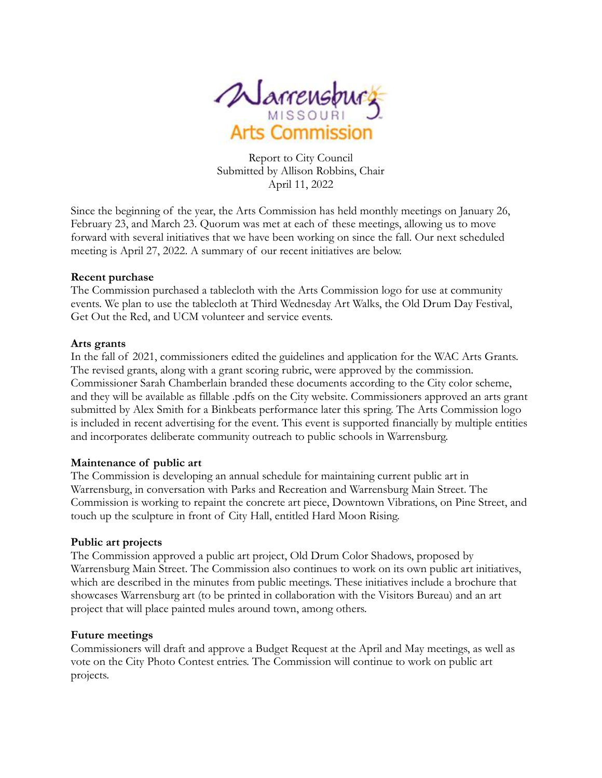

Report to City Council Submitted by Allison Robbins, Chair April 11, 2022

Since the beginning of the year, the Arts Commission has held monthly meetings on January 26, February 23, and March 23. Quorum was met at each of these meetings, allowing us to move forward with several initiatives that we have been working on since the fall. Our next scheduled meeting is April 27, 2022. A summary of our recent initiatives are below.

#### **Recent purchase**

The Commission purchased a tablecloth with the Arts Commission logo for use at community events. We plan to use the tablecloth at Third Wednesday Art Walks, the Old Drum Day Festival, Get Out the Red, and UCM volunteer and service events.

## **Arts grants**

In the fall of 2021, commissioners edited the guidelines and application for the WAC Arts Grants. The revised grants, along with a grant scoring rubric, were approved by the commission. Commissioner Sarah Chamberlain branded these documents according to the City color scheme, and they will be available as fillable .pdfs on the City website. Commissioners approved an arts grant submitted by Alex Smith for a Binkbeats performance later this spring. The Arts Commission logo is included in recent advertising for the event. This event is supported financially by multiple entities and incorporates deliberate community outreach to public schools in Warrensburg.

# **Maintenance of public art**

The Commission is developing an annual schedule for maintaining current public art in Warrensburg, in conversation with Parks and Recreation and Warrensburg Main Street. The Commission is working to repaint the concrete art piece, Downtown Vibrations, on Pine Street, and touch up the sculpture in front of City Hall, entitled Hard Moon Rising.

# **Public art projects**

The Commission approved a public art project, Old Drum Color Shadows, proposed by Warrensburg Main Street. The Commission also continues to work on its own public art initiatives, which are described in the minutes from public meetings. These initiatives include a brochure that showcases Warrensburg art (to be printed in collaboration with the Visitors Bureau) and an art project that will place painted mules around town, among others.

#### **Future meetings**

Commissioners will draft and approve a Budget Request at the April and May meetings, as well as vote on the City Photo Contest entries. The Commission will continue to work on public art projects.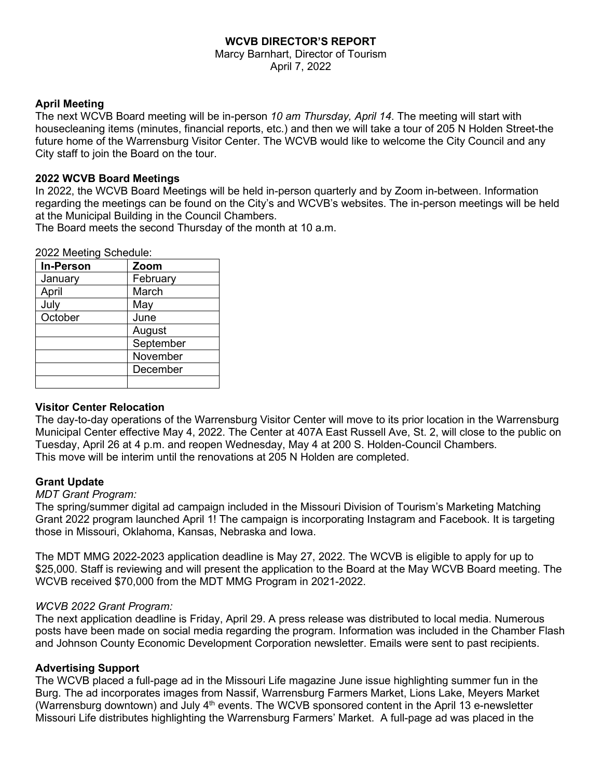# **WCVB DIRECTOR'S REPORT**

Marcy Barnhart, Director of Tourism April 7, 2022

# **April Meeting**

The next WCVB Board meeting will be in-person *10 am Thursday, April 14*. The meeting will start with housecleaning items (minutes, financial reports, etc.) and then we will take a tour of 205 N Holden Street-the future home of the Warrensburg Visitor Center. The WCVB would like to welcome the City Council and any City staff to join the Board on the tour.

## **2022 WCVB Board Meetings**

In 2022, the WCVB Board Meetings will be held in-person quarterly and by Zoom in-between. Information regarding the meetings can be found on the City's and WCVB's websites. The in-person meetings will be held at the Municipal Building in the Council Chambers.

The Board meets the second Thursday of the month at 10 a.m.

| <b>In-Person</b> | Zoom      |
|------------------|-----------|
| January          | February  |
| April            | March     |
| July             | May       |
| October          | June      |
|                  | August    |
|                  | September |
|                  | November  |
|                  | December  |
|                  |           |

## 2022 Meeting Schedule:

# **Visitor Center Relocation**

The day-to-day operations of the Warrensburg Visitor Center will move to its prior location in the Warrensburg Municipal Center effective May 4, 2022. The Center at 407A East Russell Ave, St. 2, will close to the public on Tuesday, April 26 at 4 p.m. and reopen Wednesday, May 4 at 200 S. Holden-Council Chambers. This move will be interim until the renovations at 205 N Holden are completed.

#### **Grant Update**

#### *MDT Grant Program:*

The spring/summer digital ad campaign included in the Missouri Division of Tourism's Marketing Matching Grant 2022 program launched April 1! The campaign is incorporating Instagram and Facebook. It is targeting those in Missouri, Oklahoma, Kansas, Nebraska and Iowa.

The MDT MMG 2022-2023 application deadline is May 27, 2022. The WCVB is eligible to apply for up to \$25,000. Staff is reviewing and will present the application to the Board at the May WCVB Board meeting. The WCVB received \$70,000 from the MDT MMG Program in 2021-2022.

#### *WCVB 2022 Grant Program:*

The next application deadline is Friday, April 29. A press release was distributed to local media. Numerous posts have been made on social media regarding the program. Information was included in the Chamber Flash and Johnson County Economic Development Corporation newsletter. Emails were sent to past recipients.

#### **Advertising Support**

The WCVB placed a full-page ad in the Missouri Life magazine June issue highlighting summer fun in the Burg. The ad incorporates images from Nassif, Warrensburg Farmers Market, Lions Lake, Meyers Market (Warrensburg downtown) and July  $4<sup>th</sup>$  events. The WCVB sponsored content in the April 13 e-newsletter Missouri Life distributes highlighting the Warrensburg Farmers' Market. A full-page ad was placed in the